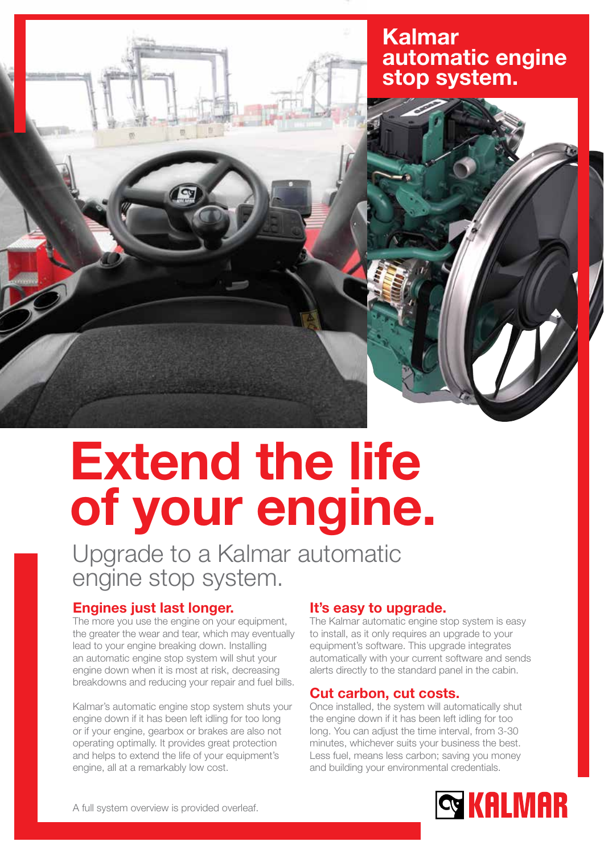

## Kalmar automatic engine stop system.



# Extend the life of your engine.

Upgrade to a Kalmar automatic engine stop system.

## Engines just last longer.

The more you use the engine on your equipment, the greater the wear and tear, which may eventually lead to your engine breaking down. Installing an automatic engine stop system will shut your engine down when it is most at risk, decreasing breakdowns and reducing your repair and fuel bills.

Kalmar's automatic engine stop system shuts your engine down if it has been left idling for too long or if your engine, gearbox or brakes are also not operating optimally. It provides great protection and helps to extend the life of your equipment's engine, all at a remarkably low cost.

## It's easy to upgrade.

The Kalmar automatic engine stop system is easy to install, as it only requires an upgrade to your equipment's software. This upgrade integrates automatically with your current software and sends alerts directly to the standard panel in the cabin.

## Cut carbon, cut costs.

Once installed, the system will automatically shut the engine down if it has been left idling for too long. You can adjust the time interval, from 3-30 minutes, whichever suits your business the best. Less fuel, means less carbon; saving you money and building your environmental credentials.